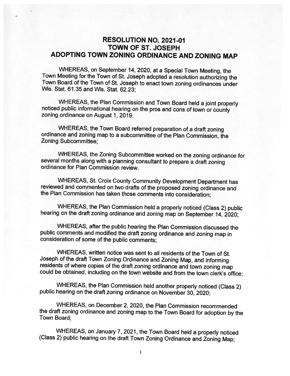## RESOLUTION NO. 2021-01 TOWN OF ST. JOSEPH ADOPTING TOWN ZONING ORDINANCE AND ZONING MAP

WHEREAS, on September 14, 2020, at <sup>a</sup> Special Town Meeting, the Town Meeting for the Town of St. Joseph adopted <sup>a</sup> resolution authorizing the Town Board of the Town of St. Joseph to enact town zoning ordinances under Wis. Stat. 61.35 and Wis. Stat. 62.23;

WHEREAS, the Plan Commission and Town Board held <sup>a</sup> joint properly noticed public informational hearing on the pros and cons of town or county zoning ordinance on August 1, 2019.

WHEREAS, the Town Board referred preparation of <sup>a</sup> draft zoning ordinance and zoning map to <sup>a</sup> subcommittee of the Plan Commission, the Zoning Subcommittee;

WHEREAS, the Zoning Subcommittee worked on the zoning ordinance for several months along with <sup>a</sup> <sup>p</sup>lanning consultant to prepare <sup>a</sup> draft zoning ordinance for Plan Commission review.

WHEREAS, St. Croix County Community Development Department has reviewed and commented on two drafts of the proposed zoning ordinance and the Plan Commission has taken those comments into consideration;

WHEREAS, the Plan Commission held <sup>a</sup> properly noticed (Class 2) public hearing on the draft zoning ordinance and zoning map on September 14, 2020;

WHEREAS, after the public hearing the Plan Commission discussed the public comments and modified the draft zoning ordinance and zoning map in consideration of some of the public comments;

WHEREAS, written notice was sent to all residents of the Town of St. Joseph of the draft Town Zoning Ordinance and Zoning Map, and informing residents of where copies of the draft zoning ordinance and town zoning map could be obtained, including on the town website and from the town clerk's office;

WHEREAS, the Plan Commission held another properly noticed (Class 2) public hearing on the draft zoning ordinance on November 30, 2020;

WHEREAS, on December 2, 2020, the Plan Commission recommended the draft zoning ordinance and zoning map to the Town Board for adoption by the Town Board;

WHEREAS, on January 7, 2021, the Town Board held <sup>a</sup> properly noticed (Class 2) public hearing on the draft Town Zoning Ordinance and Zoning Map: